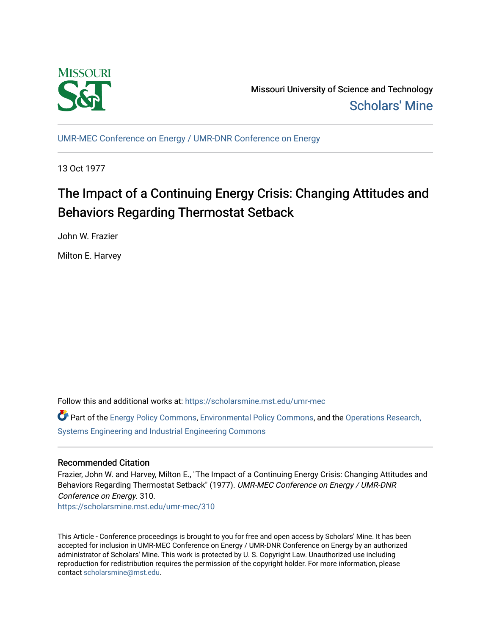

Missouri University of Science and Technology [Scholars' Mine](https://scholarsmine.mst.edu/) 

[UMR-MEC Conference on Energy / UMR-DNR Conference on Energy](https://scholarsmine.mst.edu/umr-mec)

13 Oct 1977

# The Impact of a Continuing Energy Crisis: Changing Attitudes and Behaviors Regarding Thermostat Setback

John W. Frazier

Milton E. Harvey

Follow this and additional works at: [https://scholarsmine.mst.edu/umr-mec](https://scholarsmine.mst.edu/umr-mec?utm_source=scholarsmine.mst.edu%2Fumr-mec%2F310&utm_medium=PDF&utm_campaign=PDFCoverPages) 

Part of the [Energy Policy Commons](http://network.bepress.com/hgg/discipline/1065?utm_source=scholarsmine.mst.edu%2Fumr-mec%2F310&utm_medium=PDF&utm_campaign=PDFCoverPages), [Environmental Policy Commons](http://network.bepress.com/hgg/discipline/1027?utm_source=scholarsmine.mst.edu%2Fumr-mec%2F310&utm_medium=PDF&utm_campaign=PDFCoverPages), and the Operations Research, [Systems Engineering and Industrial Engineering Commons](http://network.bepress.com/hgg/discipline/305?utm_source=scholarsmine.mst.edu%2Fumr-mec%2F310&utm_medium=PDF&utm_campaign=PDFCoverPages)

## Recommended Citation

Frazier, John W. and Harvey, Milton E., "The Impact of a Continuing Energy Crisis: Changing Attitudes and Behaviors Regarding Thermostat Setback" (1977). UMR-MEC Conference on Energy / UMR-DNR Conference on Energy. 310.

[https://scholarsmine.mst.edu/umr-mec/310](https://scholarsmine.mst.edu/umr-mec/310?utm_source=scholarsmine.mst.edu%2Fumr-mec%2F310&utm_medium=PDF&utm_campaign=PDFCoverPages) 

This Article - Conference proceedings is brought to you for free and open access by Scholars' Mine. It has been accepted for inclusion in UMR-MEC Conference on Energy / UMR-DNR Conference on Energy by an authorized administrator of Scholars' Mine. This work is protected by U. S. Copyright Law. Unauthorized use including reproduction for redistribution requires the permission of the copyright holder. For more information, please contact [scholarsmine@mst.edu](mailto:scholarsmine@mst.edu).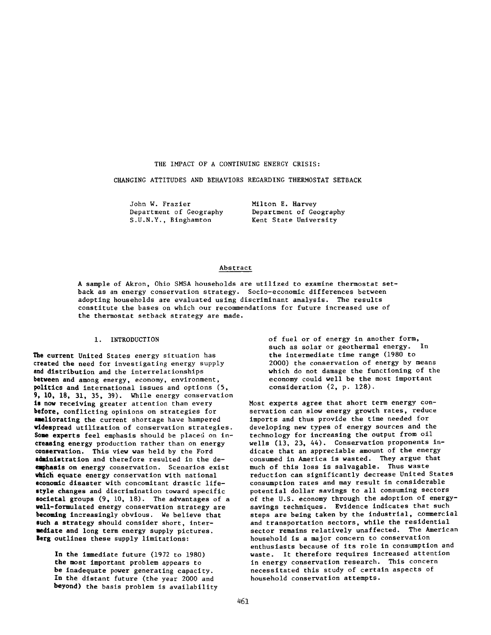## THE IMPACT OF A CONTINUING ENERGY CRISIS:

CHANGING ATTITUDES AND BEHAVIORS REGARDING THERMOSTAT SETBACK

| John W. Frazier         | Milton E. Harvey        |
|-------------------------|-------------------------|
| Department of Geography | Department of Geography |
| S.U.N.Y., Binghamton    | Kent State University   |

## Abstract

A sample of Akron, Ohio SMSA households are utilized to examine thermostat setback as an energy conservation strategy. Socio-economic differences between adopting households are evaluated using discriminant analysis. The results constitute the bases on which our recommendations for future increased use of the thermostat setback strategy are made.

#### 1. INTRODUCTION

**The** current United States energy situation has **created** the need for investigating energy supply **and distribution** and the interrelationships **between** and among energy, economy, environment, **politics** and international issues and options (5, 9, 10, 18, 31, 35, 39). While energy conservation **is now** receiving greater attention than every **before,** conflicting opinions on strategies for **ameliorating** the current shortage have hampered **widespread** utilization of conservation strategies. **Some experts** feel emphasis should be placed on in**creasing** energy production rather than on energy **conservation.** This view was held by the Ford **administration** and therefore resulted in the de**emphasis** on energy conservation. Scenarios exist **which equate** energy conservation with national **economic** disaster with concomitant drastic life**style changes** and discrimination toward specific **societal** groups (9, 10, 18). The advantages of a **well-formulated** energy conservation strategy are **becoming** increasingly obvious. We believe that **such a strategy** should consider short, inter**mediate** and long term energy supply pictures. **Berg** outlines these supply limitations:

> In **the** immediate future (1972 to 1980) **the** most important problem appears to **be** inadequate power generating capacity. **In** the distant future (the year 2000 and **beyond)** the basis problem is availability

of fuel or of energy in another form, such as solar or geothermal energy. In the intermediate time range (1980 to 2000) the conservation of energy by means which do not damage the functioning of the economy could well be the most important consideration (2, p. 128).

Most experts agree that short term energy conservation can slow energy growth rates, reduce imports and thus provide the time needed for developing new types of energy sources and the technology for increasing the output from oil wells (13, 23, 44). Conservation proponents indicate that an appreciable amount of the energy consumed in America is wasted. They argue that much of this loss is salvagable. Thus waste reduction can significantly decrease United States consumption rates and may result in considerable potential dollar savings to all consuming sectors of the U.S. economy through the adoption of energysavings techniques. Evidence indicates that such steps are being taken by the industrial, commercial and transportation sectors, while the residential sector remains relatively unaffected. The American household is a major concern to conservation enthusiasts because of its role in consumption and waste. It therefore requires increased attention in energy conservation research. This concern necessitated this study of certain aspects of household conservation attempts.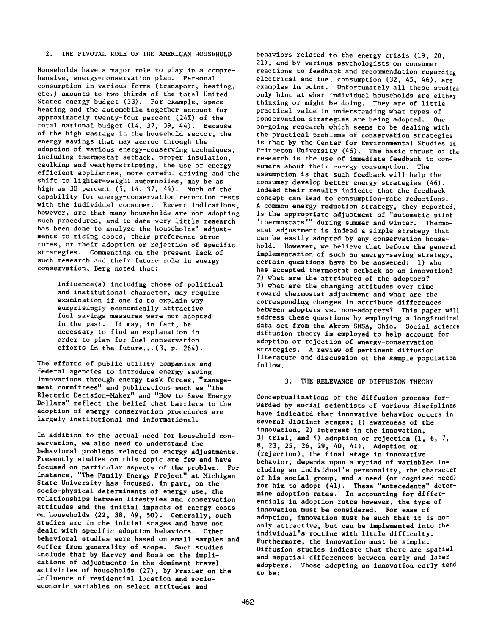## 2. THE PIVOTAL ROLE OF THE AMERICAN HOUSEHOLD

Households have a major role to play in a comprehensive, energy-conservation plan. Personal consumption in various forms (transport, heating, etc.) amounts to two-thirds of the total United States energy budget (33). For example, space heating and the automobile together account for approximately twenty-four percent (24%) of the total national budget (14, 37, 39, 44). Because of the high wastage in the household sector, the energy savings that may accrue through the adoption of various energy-conserving techniques, including thermostat setback, proper insulation, caulking and weatherstripping, the use of energy efficient appliances, more careful driving and the shift to lighter-weight automobiles, may be as high as 30 percent (5, 14, 37, 44). Much of the capability for energy-conservation reduction rests with the individual consumer. Recent indications, however, are that many households are not adopting such procedures, and to date very little research has been done to analyze the households' adjustments to rising costs, their preference structures, or their adoption or rejection of specific strategies. Commenting on the present lack of such research and their future role in energy conservation, Berg noted that:

> Influence(s) including those of political and institutional character, may require examination if one is to explain why surprisingly economically attractive fuel savings measures were not adopted in the past. It may, in fact, be necessary to find an explanation in order to plan for fuel conservation efforts in the future...(3, p. 264).

The efforts of public utility companies and federal agencies to introduce energy saving innovations through energy task forces, "management committees" and publications such as "The Electric Decision-Maker" and "How to Save Energy Dollars" reflect the belief that barriers to the adoption of energy conservation procedures are largely institutional and informational.

In addition to the actual need for household conservation, we also need to understand the behavioral problems related to energy adjustments. Presently studies on this topic are few and have focused on particular aspects of the problem. For instance, "The Family Energy Project" at Michigan State University has focused, in part, on the socio-physical determinants of energy use, the relationships between lifestyles and conservation attitudes and the initial impacts of energy costs on households (22, 38, 49, 50). Generally, such studies are in the initial stages and have not dealt with specific adoption behaviors. Other behavioral studies were based on small samples and suffer from generality of scope. Such studies include that by Harvey and Ross on the implications of adjustments in the dominant travel activities of households (27), by Frazier on the influence of residential location and socioeconomic variables on select attitudes and

behaviors related to the energy crisis (19, 20, 21), and by various psychologists on consumer reactions to feedback and recommendation regarding electrical and fuel consumption (32, 45, 46), are examples in point. Unfortunately all these studies only hint at what individual households are either thinking or might be doing. They are of little practical value in understanding what types of conservation strategies are being adopted. One on-going research which seems to be dealing with the practical problems of conservation strategies is that by the Center for Environmental Studies at Princeton University (46). The basic thrust of the research is the use of immediate feedback to consumers about their energy consumption. The assumption is that such feedback will help the consumer develop better energy strategies (46). Indeed their results indicate that the feedback concept can lead to consumption-rate reductions. A common energy reduction strategy, they reported, is the appropriate adjustment of "automatic pilot 'thermostats'" during summer and winter. Thermostat adjustment is indeed a simple strategy that can be easily adopted by any conservation household. However, we believe that before the general implementation of such an energy-saving strategy, certain questions have to be answered: 1) who has accepted thermostat setback as an innovation? 2) what are the attributes of the adoptors? 3) what are the changing attitudes over time toward thermostat adjustment and what are the corresponding changes in attribute differences between adopters vs. non-adopters? This paper will address these questions by employing a longitudinal data set from the Akron SMSA, Ohio. Social science diffusion theory is employed to help account for adoption or rejection of energy-conservation strategies. A review of pertinent diffusion literature and discussion of the sample population follow.

#### 3. THE RELEVANCE OF DIFFUSION THEORY

Conceptualizations of the diffusion process forwarded by social scientists of various disciplines have indicated that innovative behavior occurs in several distinct stages; 1) awareness of the innovation, 2) interest in the innovation, 3) trial, and 4) adoption or rejection (1, 6, 7, 8, 23, 25, 26, 29, 40, 41). Adoption or (rejection), the final stage in innovative behavior, depends upon a myriad of variables including an individual's personality, the character of his social group, and a need (or cognized need) for him to adopt (41). These "antecedents" determine adoption rates. In accounting for differentials in adoption rates however, the type of innovation must be considered. For ease of adoption, innovation must be such that it is not only attractive, but can be implemented into the individual's routine with little difficulty. Furthermore, the innovation must be simple. Diffusion studies indicate that there are spatial and aspatial differences between early and later adopters. Those adopting an innovation early tend to be: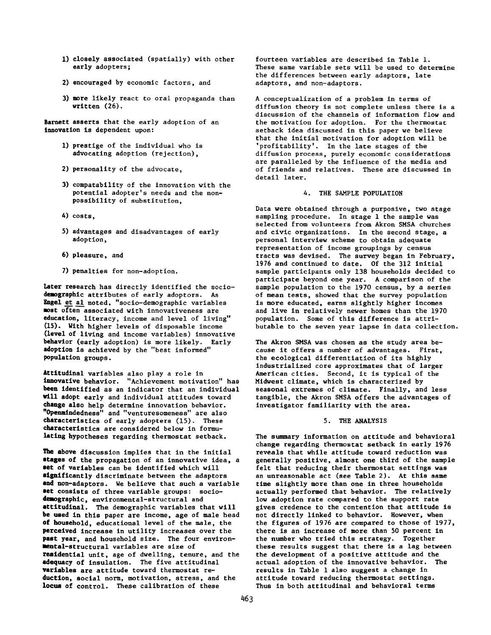- 1) closely associated (spatially) with other early adopters;
- 2) encouraged by economic factors, and
- 3) more likely react to oral propaganda than written (26).

Barnett asserts that the early adoption of an innovation is dependent upon:

- 1) prestige of the individual who is advocating adoption (rejection),
- 2) personality of the advocate,
- 3) compatability of the innovation with the potential adopter's needs and the nonpossibility of substitution,
- 4) costs,
- 5) advantages and disadvantages of early adoption,
- 6) pleasure, and
- 7) penalties for non-adoption.

Later research has directly identified the sociodemographic attributes of early adoptors. As Engel et al noted, "socio-demographic variables most often associated with innovativeness are education, literacy, income and level of living" (15). With higher levels of disposable income (level of living and income variables) innovative behavior (early adoption) is more likely. Early adoption is achieved by the "best informed" population groups.

Attitudinal variables also play a role in innovative behavior. "Achievement motivation" has been identified as an indicator that an individual will adopt early and individual attitudes toward change also help determine innovation behavior. "Openmindedness" and "venturesomeness" are also characteristics of early adopters (15). These characteristics are considered below in formulating hypotheses regarding thermostat setback.

The above discussion implies that in the initial stages of the propagation of an innovative idea, a set of variables can be identified which will significantly discriminate between the adaptors and non-adaptors. We believe that such a variable set consists of three variable groups: sociodemographic, environmental-structural and attitudinal. The demographic variables that will be used in this paper are income, age of male head of household, educational level of the male, the perceived increase in utility increases over the past year, and household size. The four environmental-structural variables are size of residential unit, age of dwelling, tenure, and the adequacy of insulation. The five attitudinal variables are attitude toward thermostat reduction, social norm, motivation, stress, and the locus of control. These calibration of these

fourteen variables are described in Table 1. These same variable sets will be used to determine the differences between early adaptors, late adaptors, and non-adaptors.

A conceptualization of a problem in terms of diffusion theory is not complete unless there is a discussion of the channels of information flow and the motivation for adoption. For the thermostat setback idea discussed in this paper we believe that the initial motivation for adoption will be 'profitability'. In the late stages of the diffusion process, purely economic considerations are paralleled by the influence of the media and of friends and relatives. These are discussed in detail later.

#### 4. THE SAMPLE POPULATION

Data were obtained through a purposive, two stage sampling procedure. In stage 1 the sample was selected from volunteers from Akron SMSA churches and civic organizations. In the second stage, a personal interview scheme to obtain adequate representation of income groupings by census tracts was devised. The survey began in February, 1976 and continued to date. Of the 312 initial sample participants only 138 households decided to participate beyond one year. A comparison of the sample population to the 1970 census, by a series of mean tests, showed that the survey population is more educated, earns slightly higher incomes and live in relatively newer homes than the 1970 population. Some of this difference is attributable to the seven year lapse in data collection.

The Akron SMSA was chosen as the study area because it offers a number of advantages. First, the ecological differentiation of its highly industrialized core approximates that of larger American cities. Second, it is typical of the Midwest climate, which is characterized by seasonal extremes of climate. Finally, and less tangible, the Akron SMSA offers the advantages of investigator familiarity with the area.

## 5. THE ANALYSIS

The summary information on attitude and behavioral change regarding thermostat setback in early 1976 reveals that while attitude toward reduction was generally positive, almost one third of the sample felt that reducing their thermostat settings was an unreasonable act (see Table 2). At this same time slightly more than one in three households actually performed that behavior. The relatively low adoption rate compared to the support rate gives credence to the contention that attitude is not directly linked to behavior. However, when the figures of 1976 are compared to those of 1977, there is an increase of more than 50 percent in the number who tried this strategy. Together these results suggest that there is a lag between the development of a positive attitude and the actual adoption of the innovative behavior. The results in Table 1 also suggest a change in attitude toward reducing thermostat settings. Thus in both attitudinal and behavioral terms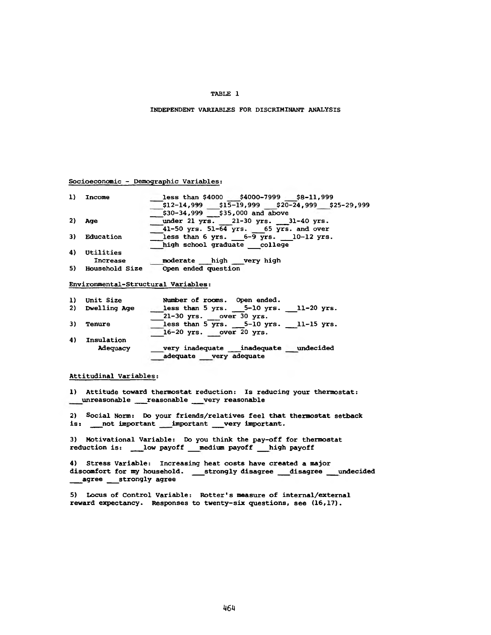## **TABLE 1**

## **INDEPENDENT VARIABLES FOR DISCRIMINANT ANALYSIS**

## **Socioeconomic - Demographic Variables:**

| 1) | Income    | less than \$4000 \$4000-7999 \$8-11,999             |
|----|-----------|-----------------------------------------------------|
|    |           | $$12-14,999$ $$15-19,999$ $$20-24,999$ $$25-29,999$ |
|    |           | $530-34,999$ $535,000$ and above                    |
| 2) | Age       | under 21 yrs. 21-30 yrs. 31-40 yrs.                 |
|    |           | 41-50 yrs. 51-64 yrs. 65 yrs. and over              |
| 3) | Education | less than 6 yrs. $6-9$ yrs. 10-12 yrs.              |
|    |           | high school graduate college                        |
| 4) | Utilities |                                                     |
|    | Increase  | high very high<br>moderate                          |

**5) Household Size Open ended question**

**Environmental-Structural Variables:**

| 1) | Unit Size           | Number of rooms. Open ended.                |
|----|---------------------|---------------------------------------------|
| 2) | <b>Dwelling Age</b> | less than $5$ yrs. $5-10$ yrs. $11-20$ yrs. |
|    |                     | $21-30$ yrs. over $30$ yrs.                 |
| 3) | Tenure              | less than 5 yrs. $5-10$ yrs. 11-15 yrs.     |
|    |                     | $16-20$ yrs. over 20 yrs.                   |
| 4) | Insulation          |                                             |
|    | Adequacy            | undecided<br>very inadequate<br>inadequate  |
|    |                     | adequate very adequate                      |

## **Attitudinal Variables:**

**1) Attitude toward thermostat reduction: Is reducing your thermostat: unreasonable \_\_\_reasonable \_\_\_very reasonable**

**2) Social Norm: Do your friends/relatives feel that thermostat setback** is: \_\_\_not important \_\_\_important \_\_\_very important.

**3) Motivational Variable: Do you think the pay-off for thermostat reduction is: \_\_\_ low payoff \_\_\_medium payoff \_\_\_high payoff**

**4) Stress Variable: Increasing heat costs have created a major discomfort for my household. \_\_\_strongly disagree \_\_\_disagree \_\_\_undecided \_\_\_agree \_\_\_strongly agree**

**5) Locus of Control Variable: Rotter's measure of internal/extemal reward expectancy. Responses to twenty-six questions, see (16,17).**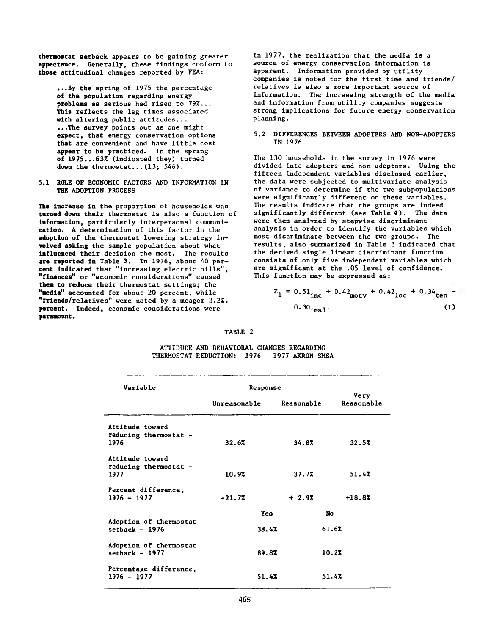**thermostat setback** appears to be gaining greater **appectance. Generally,** these findings conform to **those attitudinal** changes reported by FEA:

**...By the** spring of **1975** the percentage **of the** population regarding energy **problems** as serious had risen to **79%... This reflects** the lag times associated **with altering** public attitudes... **...The survey** points out as one might **expect,** that energy conservation options **that are** convenient and have little cost **appear to** be practiced. In the spring **of** 1975...63% (indicated they) turned **down the** thermostat...(13; 546).

5.1 ROLE OF ECONOMIC FACTORS AND INFORMATION IN THE ADOPTION PROCESS

**The increase** in the proportion of households who **turned down** their thermostat is also a function of **information,** particularly interpersonal communi**cation.** A determination of this factor in the **adoption** of the thermostat lowering strategy in**volved asking** the sample population about what **influenced** their decision the most. The results **are reported** in Table 3. In 1976, about 40 per**cent Indicated** that "increasing electric bills", **"finances" or** "economic considerations" caused **them to reduce** their thermostat settings; the **"media" accounted** for about 20 percent, while **"friends/relatives"** were noted by a meager 2.2%. **percent.** Indeed, economic considerations were **paramount.**

In 1977, the realization that the media is a source of energy conservation information is apparent. Information provided by utility companies is noted for the first time and friends/ relatives is also a more important source of information. The increasing strength of the media and information from utility companies suggests strong implications for future energy conservation planning.

5.2 DIFFERENCES BETWEEN ADOPTERS AND NON-ADOPTERS IN 1976

The 130 households in the survey in 1976 were divided into adopters and non-adoptors. Using the fifteen independent variables disclosed earlier, the data were subjected to multivariate analysis of variance to determine if the two subpopulations were significantly different on these variables. The results indicate that the groups are indeed significantly different (see Table 4). The data were then analyzed by stepwise discriminant analysis in order to identify the variables which most discriminate between the two groups. The results, also summarized in Table 3 indicated that the derived single linear discriminant function consists of only five independent variables which are significant at the .05 level of confidence. This function may be expressed as:

$$
Z_1 = 0.51_{\text{inc}} + 0.42_{\text{motv}} + 0.42_{\text{loc}} + 0.34_{\text{ten}} - 0.30_{\text{ins1}}.
$$
 (1)

## TABLE 2

| ATTIDUDE AND BEHAVIORAL CHANGES REGARDING |  |  |                          |  |
|-------------------------------------------|--|--|--------------------------|--|
| THERMOSTAT REDUCTION:                     |  |  | - 1976 - 1977 AKRON SMSA |  |

| Variable                                           | Response                   |         |                    |
|----------------------------------------------------|----------------------------|---------|--------------------|
|                                                    | Unreasonable<br>Reasonable |         | Very<br>Reasonable |
| Attitude toward<br>reducing thermostat -<br>1976   | 32.6%                      | 34.87   | 32.5%              |
| Attitude toward<br>reducing thermostat $-$<br>1977 | 10.92                      | 37.7%   | 51.4%              |
| Percent difference,<br>$1976 - 1977$               | $-21.72$                   | $+2.97$ | $+18.82$           |
|                                                    | Yes                        |         | N <sub>o</sub>     |
| Adoption of thermostat<br>setback $-1976$          | 38.47                      |         | 61.67              |
| Adoption of thermostat<br>setback - $1977$         | 89.8%                      |         | 10.2%              |
| Percentage difference,<br>$1976 - 1977$            | 51.47                      |         | 51.47              |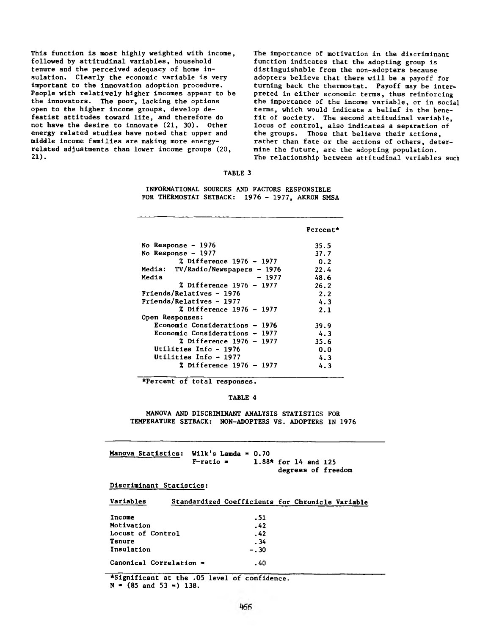This function is most highly weighted with income, followed by attitudinal variables, household tenure and the perceived adequacy of home insulation. Clearly the economic variable is very important to the innovation adoption procedure. People with relatively higher incomes appear to be the innovators. The poor, lacking the options open to the higher income groups, develop defeatist attitudes toward life, and therefore do not have the desire to innovate (21, 30). Other energy related studies have noted that upper and middle income families are making more energyrelated adjustments than lower income groups (20, **21).**

The importance of motivation in the discriminant function indicates that the adopting group is distinguishable from the non-adopters because adopters believe that there will be a payoff for turning back the thermostat. Payoff may be interpreted in either economic terms, thus reinforcing the importance of the income variable, or in social terms, which would indicate a belief in the benefit of society. The second attitudinal variable, locus of control, also indicates a separation of the groups. Those that believe their actions, rather than fate or the actions of others, determine the future, are the adopting population. The relationship between attitudinal variables such

#### TABLE 3

INFORMATIONAL SOURCES AND FACTORS RESPONSIBLE FOR THERMOSTAT SETBACK: 1976 - 1977, AKRON SMSA

|                                   | Percent* |
|-----------------------------------|----------|
| No Response - 1976                | 35.5     |
| No Response $-1977$               | 37.7     |
| <b>% Difference 1976 – 1977</b>   | 0.2      |
| Media: TV/Radio/Newspapers - 1976 | 22.4     |
| Media<br>- 1977                   | 48.6     |
| % Difference 1976 – 1977          | 26.2     |
| Friends/Relatives - 1976          | 2.2      |
| Friends/Relatives - 1977          | 4.3      |
| % Difference 1976 - 1977          | 2.1      |
| Open Responses:                   |          |
| Economic Considerations - 1976    | 39.9     |
| Economic Considerations - 1977    | 4.3      |
| % Difference 1976 - 1977          | 35.6     |
| Utilities Info - 1976             | 0.0      |
| Utilities Info – 1977             | 4.3      |
| % Difference 1976 - 1977          | 4.3      |

♦Percent of total responses.

#### TABLE 4

MANOVA AND DISCRIMINANT ANALYSIS STATISTICS FOR TEMPERATURE SETBACK: NON-ADOPTERS VS. ADOPTERS IN 1976

| Manova Statistics: Wilk's Lamda = $0.70$ |              |                        |  |                    |
|------------------------------------------|--------------|------------------------|--|--------------------|
|                                          | $F$ -ratio = | $1.88*$ for 14 and 125 |  |                    |
|                                          |              |                        |  | degrees of freedom |

## Discriminant Statistics:

| Variables               | Standardized Coefficients for Chronicle Variable |  |  |
|-------------------------|--------------------------------------------------|--|--|
|                         |                                                  |  |  |
| Income                  | .51                                              |  |  |
| Motivation              | .42                                              |  |  |
| Locust of Control       | .42                                              |  |  |
| Tenure                  | . 34                                             |  |  |
| Insulation              | $-.30$                                           |  |  |
| Canonical Correlation = | . 40                                             |  |  |

♦Significant at the .05 level of confidence.

 $N = (85 \text{ and } 53 =) 138.$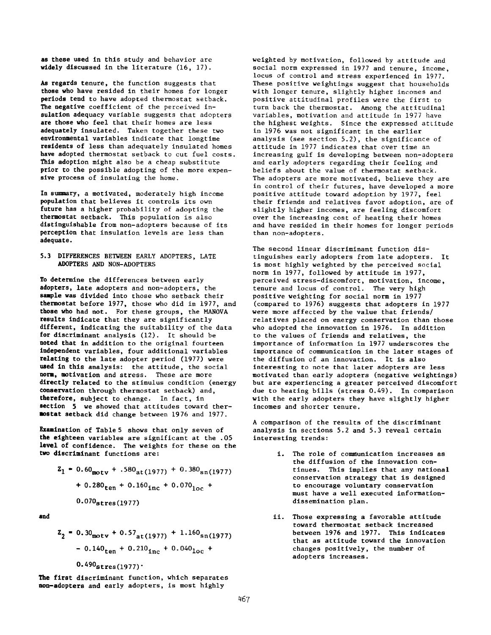as these used In this study and behavior are widely discussed in the literature (16, 17).

As regards tenure, the function suggests that those who have resided in their homes for longer periods tend to have adopted thermostat setback. The negative coefficient of the perceived insulation adequacy variable suggests that adopters are those who feel that their homes are less adequately insulated. Taken together these two environmental variables indicate that longtime residents of less than adequately insulated homes have adopted thermostat setback to cut fuel costs. This adoption might also be a cheap substitute prior to the possible adopting of the more expensive process of insulating the home.

In summary, a motivated, moderately high income population that believes it controls its own future has a higher probability of adopting the thermostat setback. This population is also distinguishable from non-adopters because of its perception that insulation levels are less than adequate.

## 5.3 DIFFERENCES BETWEEN EARLY ADOPTERS, LATE ADOPTERS AND NON-ADOPTERS

To determine the differences between early adopters, late adopters and non-adopters, the sample was divided into those who setback their thermostat before 1977, those who did in 1977, and those who had not. For these groups, the MANOVA results indicate that they are significantly different, indicating the suitability of the data for discriminant analysis (12). It should be noted that in addition to the original fourteen Independent variables, four additional variables relating to the late adopter period (1977) were used in this analysis: the attitude, the social norm, motivation and stress. These are more directly related to the stimulus condition (energy conservation through thermostat setback) and, therefore, subject to change. In fact, in section 5 we showed that attitudes toward thermostat setback did change between 1976 and 1977.

Examination of Table 5 shows that only seven of the eighteen variables are significant at the .05 level of confidence. The weights for these on the two discriminant functions are:

$$
Z_1 = 0.60_{\text{mot}} + .580_{\text{at}}(1977) + 0.380_{\text{sn}}(1977)
$$
  
+ 0.280<sub>ten</sub> + 0.160<sub>inc</sub> + 0.070<sub>loc</sub> +  
0.070<sub>stress</sub>(1977)

and

$$
Z_2 = 0.30_{\text{motv}} + 0.57_{\text{at}(1977)} + 1.160_{\text{sn}(1977)}
$$
  
- 0.140<sub>ten</sub> + 0.210<sub>inc</sub> + 0.040<sub>loc</sub> +  
0.490<sub>stress(1977)</sub>.

The first discriminant function, which separates non-adopters and early adopters, is most highly

weighted by motivation, followed by attitude and social norm expressed in 1977 and tenure, income, locus of control and stress experienced in 1977. These positive weightings suggest that households with longer tenure, slightly higher incomes and positive attitudinal profiles were the first to turn back the thermostat. Among the attitudinal variables, motivation and attitude in 1977 have the highest weights. Since the expressed attitude in 1976 was not significant in the earlier analysis (see section 5.2), the significance of attitude in 1977 indicates that over time an increasing gulf is developing between non-adopters and early adopters regarding their feeling and beliefs about the value of thermostat setback. The adopters are more motivated, believe they are in control of their futures, have developed a more positive attitude toward adoption by 1977, feel their friends and relatives favor adoption, are of slightly higher incomes, are feeling discomfort over the increasing cost of heating their homes and have resided in their homes for longer periods than non-adopters.

The second linear discriminant function distinguishes early adopters from late adopters. It is most highly weighted by the perceived social norm in 1977, followed by attitude in 1977, perceived stress-discomfort, motivation, income, tenure and locus of control. The very high positive weighting for social norm in 1977 (compared to 1976) suggests that adopters in 1977 were more affected by the value that friends/ relatives placed on energy conservation than those who adopted the innovation in 1976. In addition to the values of friends and relatives, the importance of information in 1977 underscores the importance of communication in the later stages of the diffusion of an innovation. It is also interesting to note that later adopters are less motivated than early adopters (negative weightings) but are experiencing a greater perceived discomfort due to heating bills (stress 0.49). In comparison with the early adopters they have slightly higher incomes and shorter tenure.

A comparison of the results of the discriminant analysis in sections 5.2 and 5.3 reveal certain interesting trends:

- i. The role of communication increases as the diffusion of the innovation continues. This implies that any national conservation strategy that is designed to encourage voluntary conservation must have a well executed informationdissemination plan.
- ii. Those expressing a favorable attitude toward thermostat setback increased between 1976 and 1977. This indicates that as attitude toward the innovation changes positively, the number of adopters increases.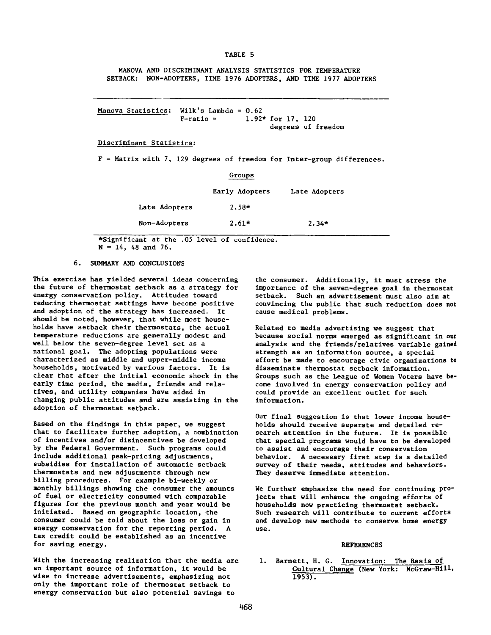**TABLE 5**

MANOVA AND DISCRIMINANT ANALYSIS STATISTICS FOR TEMPERATURE SETBACK: NON-ADOPTERS, TIME 1976 ADOPTERS, AND TIME 1977 ADOPTERS

Manova Statistics: Wilk's Lambda =  $0.62$  $F-ratio = 1.92* for 17, 120$ degrees of freedom

#### Discriminant Statistics:

F - Matrix with 7, 129 degrees of freedom for Inter-group differences.

|               | Groups         |               |  |
|---------------|----------------|---------------|--|
|               | Early Adopters | Late Adopters |  |
| Late Adopters | $2.58*$        |               |  |
| Non-Adopters  | $2.61*$        | $2.34*$       |  |

\*Significant at the .05 level of confidence.  $N = 14$ , 48 and 76.

#### 6. SUMMARY AND CONCLUSIONS

This exercise has yielded several ideas concerning the future of thermostat setback as a strategy for energy conservation policy. Attitudes toward reducing thermostat settings have become positive and adoption of the strategy has increased. It should be noted, however, that while most households have setback their thermostats, the actual temperature reductions are generally modest and well below the seven-degree level set as a national goal. The adopting populations were characterized as middle and upper-middle income households, motivated by various factors. It is clear that after the initial economic shock in the early time period, the media, friends and relatives, and utility companies have aided in changing public attitudes and are assisting in the adoption of thermostat setback.

Based on the findings in this paper, we suggest that to facilitate further adoption, a combination of incentives and/or disincentives be developed by the Federal Government. Such programs could include additional peak-pricing adjustments, subsidies for installation of automatic setback thermostats and new adjustments through new billing procedures. For example bi-weekly or monthly billings showing the consumer the amounts of fuel or electricity consumed with comparable figures for the previous month and year would be initiated. Based on geographic location, the consumer could be told about the loss or gain in energy conservation for the reporting period. A tax credit could be established as an incentive for saving energy.

With the increasing realization that the media are an important source of information, it would be wise to increase advertisements, emphasizing not only the important role of thermostat setback to energy conservation but also potential savings to

the consumer. Additionally, it must stress the importance of the seven-degree goal in thermostat setback. Such an advertisement must also aim at convincing the public that such reduction does not cause medical problems.

Related to media advertising we suggest that because social norms emerged as significant in our analysis and the friends/relatives variable gained strength as an information source, a special effort be made to encourage civic organizations to disseminate thermostat setback information. Groups such as the League of Women Voters have become involved in energy conservation policy and could provide an excellent outlet for such information.

Our final suggestion is that lower income households should receive separate and detailed research attention in the future. It is possible that special programs would have to be developed to assist and encourage their conservation behavior. A necessary first step is a detailed survey of their needs, attitudes and behaviors. They deserve immediate attention.

We further emphasize the need for continuing projects that will enhance the ongoing efforts of households now practicing thermostat setback. Such research will contribute to current efforts and develop new methods to conserve home energy use.

#### REFERENCES

1. Barnett, H. G. Innovation: The Basis of Cultural Change (New York: **McGraw-Hill.** 1953).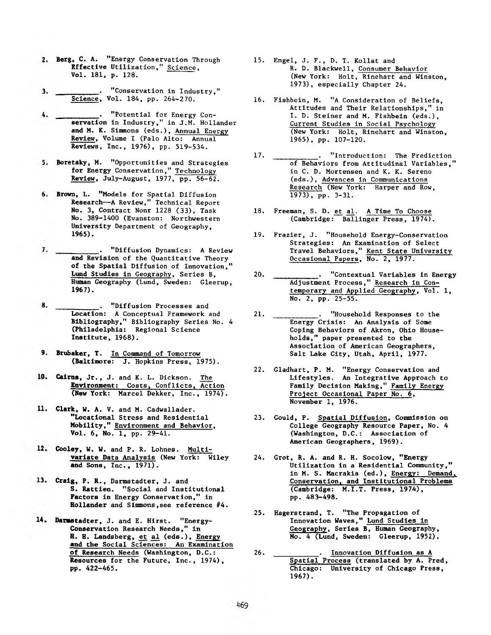- 2. Berg, C. A. "Energy Conservation Through Effective Utilization," Science, Vol. 181, p. 128.
- 3. \_\_\_\_\_\_\_\_\_\_. "Conservation in Industry," Science, Vol. 184, pp. 264-270.
- . "Potential for Energy Con-4. servation in Industry," in J.M. Hollander and M. K. Simmons (eds.), Annual Energy Review, Volume I (Palo Alto: Annual Reviews, Inc., 1976), pp. 519-534.
- 5. Boretsky, M. "Opportunities and Strategies for Energy Conservation," Technology Review, July-August, 1977, pp. 56-62.
- Brown, L. "Models for Spatial Diffusion Research— A Review," Technical Report No. 3, Contract Nonr 1228 (33), Task No. 389-1400 (Evanston: Northwestern University Department of Geography, 1965).
- 7. \_\_\_\_\_\_\_\_\_\_\_\_\_. "Diffusion Dynamics: A Review and Revision of the Quantitative Theory of the Spatial Diffusion of Innovation," Lund Studies in Geography, Series B, Human Geography (Lund, Sweden: Gleerup, 1967).
- 8. "Diffusion Processes and Location: A Conceptual Framework and Bibliography," Bibliography Series No. 4 (Philadelphia: Regional Science Institute, 1968).
- 9. Brubaker, T. In Command of Tomorrow (Baltimore: J. Hopkins Press, 1975).
- 10. Cairns, Jr., J. and K. L. Dickson. The Environment: Costs, Conflicts, Action (New York: Marcel Dekker, Inc., 1974).
- Clark, W. A. V. and M. Cadwallader. "Locational Stress and Residential Mobility," **Environment and Behavior**, Vol. 6, No. 1, pp. 29-41.
- Cooley, W. W. and P. R. Lohnes. Multivariate Data Analysis (New York: Wiley and Sons, Inc., 1971).
- 13. Craig, P. R., Darmstadter, J. and S. Rattien. "Social and Institutional Factors in Energy Conservation," in Hollander and Simmons,see reference #4.
- Darmstadter, J. and E. Hirst. "Energy-Conservation Research Needs," in H. H. Landsberg, et al (eds.), Energy and the Social Sciences: An Examination of Research Needs (Washington, D.C.: Resources for the Future, Inc., 1974), pp. 422-465.
- . Engel, J. F., D. T. Kollat and 15 R. D. Blackwell, Consumer Behavior (New York: Holt, Rinehart and Winston, 1973), especially Chapter 24.
- . Fishbein, M. "A Consideration of Beliefs, 16 Attitudes and Their Relationships," in I. D. Steiner and M. Fishbein (eds.), Current Studies in Social Psychology (New York: Holt, Rinehart and Winston, 1965), pp. 107-120.
- . "Introduction: The Prediction of Behaviors from Attitudinal Variables," in C. D. Mortensen and K. K. Sereno (eds.), Advances in Communications Research (New York: Harper and Row,  $1973)$ , pp. 3-31. 17.  $\frac{1}{2}$
- 18. Freeman, S. D. et al. A Time To Choose (Cambridge: Ballinger Press, 1974).
- . Frazier, J. "Household Energy-Conservation 19 Strategies: An Examination of Select Travel Behaviors," Kent State University Occasional Papers, No. 2, 1977.
- . "Contextual Variables in Energy Adjustment Process," Research in Contemporary and Applied Geography, Vol. 1, No. 2, pp. 25-55. 20
- . "Household Responses to the Energy Crisis: An Analysis of Some Coping Behaviors of Akron, Ohio Households," paper presented to the Association of American Geographers, Salt Lake City, Utah, April, 1977. 21
- . Gladhart, P. M. "Energy Conservation and Lifestyles. An Integrative Approach to Family Decision Making," Family Energy Project Occasional Paper No. 6, November 1, 1976. 22
- 23. Gould, P. <u>Spatial Diffusion</u>, Commission on College Geography Resource Paper, No. 4 (Washington, D.C.: Association of American Geographers, 1969).
- . Grot, R. A. and R. H. Socolow, "Energy 24 Utilization in a Residential Community," in M. S. Macrakis (ed.), Energy: Demand, Conservation, and Institutional Problems (Cambridge: M.I.T. Press, 1974), pp. 483-498.
- . Hagerstrand, T. "The Propagation of 25 Innovation Waves," Lund Studies in Geography, Series B, Human Geography, No. 4 (Lund, Sweden: Gleerup, 1952).
- Innovation Diffusion as A Spatial Process (translated by A. Pred, Chicago: University of Chicago Press, 1967). 26